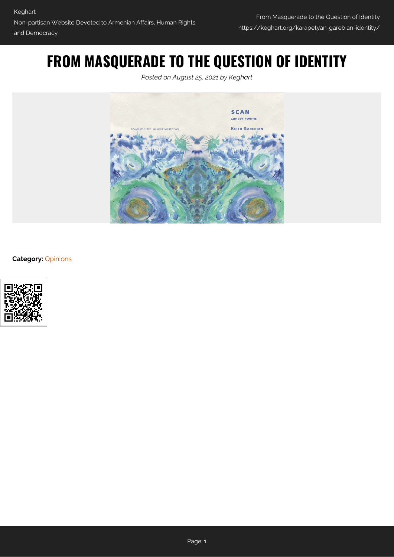# **FROM MASQUERADE TO THE QUESTION OF IDENTITY**

*Posted on August 25, 2021 by Keghart*



**Category:** [Opinions](https://keghart.org/category/opinions/)

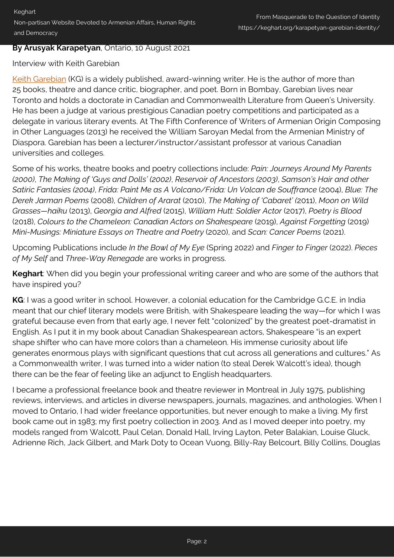### **By Arusyak Karapetyan**, Ontario, 10 August 2021

### Interview with Keith Garebian

[Keith Garebian](https://garebian.wordpress.com/about/) (KG) is a widely published, award-winning writer. He is the author of more than 25 books, theatre and dance critic, biographer, and poet. Born in Bombay, Garebian lives near Toronto and holds a doctorate in Canadian and Commonwealth Literature from Queen's University. He has been a judge at various prestigious Canadian poetry competitions and participated as a delegate in various literary events. At The Fifth Conference of Writers of Armenian Origin Composing in Other Languages (2013) he received the William Saroyan Medal from the Armenian Ministry of Diaspora. Garebian has been a lecturer/instructor/assistant professor at various Canadian universities and colleges.

Some of his works, theatre books and poetry collections include: *Pain: Journeys Around My Parents (2000)*, *The Making of 'Guys and Dolls' (2002)*, *Reservoir of Ancestors (2003)*, *Samson's Hair and other Satiric Fantasies (2004)*, *Frida: Paint Me as A Volcano/Frida: Un Volcan de Souffrance* (2004), *Blue: The Derek Jarman Poems* (2008), *Children of Ararat* (2010), *The Making of 'Cabaret' (*2011), *Moon on Wild Grasses—haiku* (2013), *Georgia and Alfred* (2015), *William Hutt: Soldier Actor* (2017), *Poetry is Blood* (2018), *Colours to the Chameleon: Canadian Actors on Shakespeare* (2019), *Against Forgetting* (2019) *Mini*-*Musings: Miniature Essays on Theatre and Poetry* (2020), and *Scan: Cancer Poems* (2021).

Upcoming Publications include *In the Bowl of My Eye* (Spring 2022) and *Finger to Finger* (2022). *Pieces of My Self* and *Three-Way Renegade* are works in progress.

**Keghart**: When did you begin your professional writing career and who are some of the authors that have inspired you?

**KG**: I was a good writer in school. However, a colonial education for the Cambridge G.C.E. in India meant that our chief literary models were British, with Shakespeare leading the way—for which I was grateful because even from that early age, I never felt "colonized" by the greatest poet-dramatist in English. As I put it in my book about Canadian Shakespearean actors, Shakespeare "is an expert shape shifter who can have more colors than a chameleon. His immense curiosity about life generates enormous plays with significant questions that cut across all generations and cultures." As a Commonwealth writer, I was turned into a wider nation (to steal Derek Walcott's idea), though there can be the fear of feeling like an adjunct to English headquarters.

I became a professional freelance book and theatre reviewer in Montreal in July 1975, publishing reviews, interviews, and articles in diverse newspapers, journals, magazines, and anthologies. When I moved to Ontario, I had wider freelance opportunities, but never enough to make a living. My first book came out in 1983; my first poetry collection in 2003. And as I moved deeper into poetry, my models ranged from Walcott, Paul Celan, Donald Hall, Irving Layton, Peter Balakian, Louise Gluck, Adrienne Rich, Jack Gilbert, and Mark Doty to Ocean Vuong, Billy-Ray Belcourt, Billy Collins, Douglas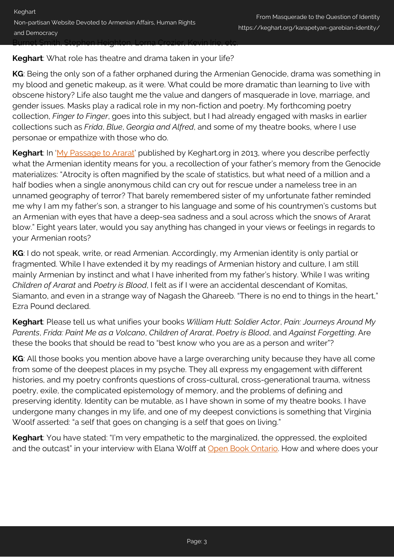**Keghart**: What role has theatre and drama taken in your life?

**KG**: Being the only son of a father orphaned during the Armenian Genocide, drama was something in my blood and genetic makeup, as it were. What could be more dramatic than learning to live with obscene history? Life also taught me the value and dangers of masquerade in love, marriage, and gender issues. Masks play a radical role in my non-fiction and poetry. My forthcoming poetry collection, *Finger to Finger*, goes into this subject, but I had already engaged with masks in earlier collections such as *Frida*, *Blue*, *Georgia and Alfred*, and some of my theatre books, where I use personae or empathize with those who do.

**Keghart**: In '[My Passage to Ararat](https://keghart.org/my-passage-to-ararat/)' published by Keghart.org in 2013, where you describe perfectly what the Armenian identity means for you, a recollection of your father's memory from the Genocide materializes: "Atrocity is often magnified by the scale of statistics, but what need of a million and a half bodies when a single anonymous child can cry out for rescue under a nameless tree in an unnamed geography of terror? That barely remembered sister of my unfortunate father reminded me why I am my father's son, a stranger to his language and some of his countrymen's customs but an Armenian with eyes that have a deep-sea sadness and a soul across which the snows of Ararat blow." Eight years later, would you say anything has changed in your views or feelings in regards to your Armenian roots?

**KG**: I do not speak, write, or read Armenian. Accordingly, my Armenian identity is only partial or fragmented. While I have extended it by my readings of Armenian history and culture, I am still mainly Armenian by instinct and what I have inherited from my father's history. While I was writing *Children of Ararat* and *Poetry is Blood*, I felt as if I were an accidental descendant of Komitas, Siamanto, and even in a strange way of Nagash the Ghareeb. "There is no end to things in the heart," Ezra Pound declared.

**Keghart**: Please tell us what unifies your books *William Hutt: Soldier Actor*, *Pain: Journeys Around My Parents*, *Frida: Paint Me as a Volcano*, *Children of Ararat*, *Poetry is Blood*, and *Against Forgetting*. Are these the books that should be read to "best know who you are as a person and writer"?

**KG**: All those books you mention above have a large overarching unity because they have all come from some of the deepest places in my psyche. They all express my engagement with different histories, and my poetry confronts questions of cross-cultural, cross-generational trauma, witness poetry, exile, the complicated epistemology of memory, and the problems of defining and preserving identity. Identity can be mutable, as I have shown in some of my theatre books. I have undergone many changes in my life, and one of my deepest convictions is something that Virginia Woolf asserted: "a self that goes on changing is a self that goes on living."

**Keghart**: You have stated: "I'm very empathetic to the marginalized, the oppressed, the exploited and the outcast" in your interview with Elana Wolff at [Open Book Ontario.](https://www.openbookontario.com/news/elana_wolff_interviews_keith_garebian/) How and where does your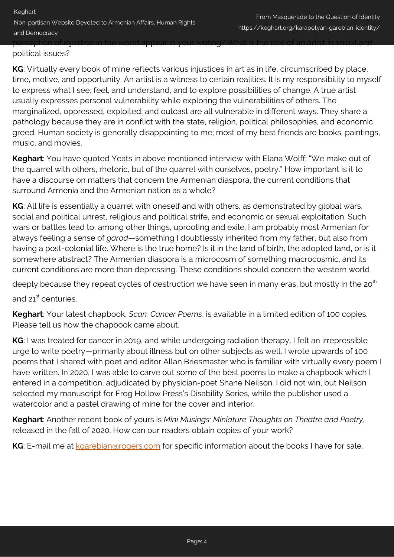Keghart Non-partisan Website Devoted to Armenian Affairs, Human Rights and Democracy perception of injustice in the world appear in your writing? What is the role of an artist in social and

## political issues?

**KG**: Virtually every book of mine reflects various injustices in art as in life, circumscribed by place, time, motive, and opportunity. An artist is a witness to certain realities. It is my responsibility to myself to express what I see, feel, and understand, and to explore possibilities of change. A true artist usually expresses personal vulnerability while exploring the vulnerabilities of others. The marginalized, oppressed, exploited, and outcast are all vulnerable in different ways. They share a pathology because they are in conflict with the state, religion, political philosophies, and economic greed. Human society is generally disappointing to me; most of my best friends are books, paintings, music, and movies.

**Keghart**: You have quoted Yeats in above mentioned interview with Elana Wolff: "We make out of the quarrel with others, rhetoric, but of the quarrel with ourselves, poetry." How important is it to have a discourse on matters that concern the Armenian diaspora, the current conditions that surround Armenia and the Armenian nation as a whole?

**KG**: All life is essentially a quarrel with oneself and with others, as demonstrated by global wars, social and political unrest, religious and political strife, and economic or sexual exploitation. Such wars or battles lead to, among other things, uprooting and exile. I am probably most Armenian for always feeling a sense of *garod*—something I doubtlessly inherited from my father, but also from having a post-colonial life. Where is the true home? Is it in the land of birth, the adopted land, or is it somewhere abstract? The Armenian diaspora is a microcosm of something macrocosmic, and its current conditions are more than depressing. These conditions should concern the western world

deeply because they repeat cycles of destruction we have seen in many eras, but mostly in the  $20<sup>th</sup>$ and  $21^{\text{st}}$  centuries.

**Keghart**: Your latest chapbook, *Scan: Cancer Poems*, is available in a limited edition of 100 copies. Please tell us how the chapbook came about.

**KG**: I was treated for cancer in 2019, and while undergoing radiation therapy, I felt an irrepressible urge to write poetry—primarily about illness but on other subjects as well. I wrote upwards of 100 poems that I shared with poet and editor Allan Briesmaster who is familiar with virtually every poem I have written. In 2020, I was able to carve out some of the best poems to make a chapbook which I entered in a competition, adjudicated by physician-poet Shane Neilson. I did not win, but Neilson selected my manuscript for Frog Hollow Press's Disability Series, while the publisher used a watercolor and a pastel drawing of mine for the cover and interior.

**Keghart**: Another recent book of yours is *Mini Musings: Miniature Thoughts on Theatre and Poetry*, released in the fall of 2020. How can our readers obtain copies of your work?

**KG:** E-mail me at [kgarebian@rogers.com](mailto:kgarebian@rogers.com) for specific information about the books I have for sale.